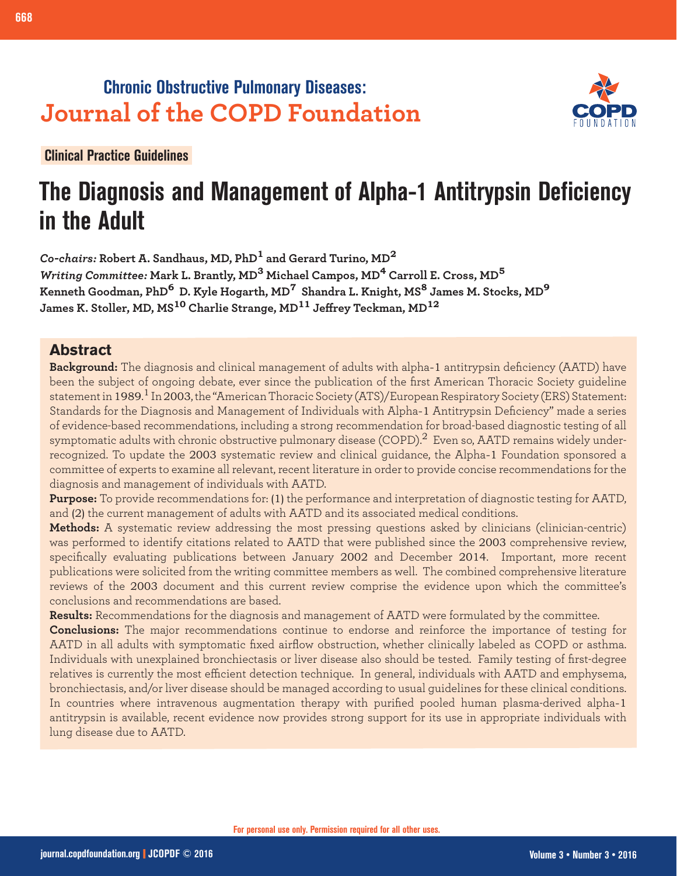## **Chronic Obstructive Pulmonary Diseases: Journal of the COPD Foundation**

**Clinical Practice Guidelines**

# **The Diagnosis and Management of Alpha-1 Antitrypsin Deficiency in the Adult**

*Co-chairs:* **Robert A. Sandhaus, MD, PhD1 and Gerard Turino, MD<sup>2</sup>**  *Writing Committee:* **Mark L. Brantly, MD3 Michael Campos, MD4 Carroll E. Cross, MD<sup>5</sup>**

**Kenneth Goodman, PhD6 D. Kyle Hogarth, MD7 Shandra L. Knight, MS8 James M. Stocks, MD<sup>9</sup>**

**James K. Stoller, MD, MS10 Charlie Strange, MD11 Jeffrey Teckman, MD<sup>12</sup>**

## **Abstract**

**Background:** The diagnosis and clinical management of adults with alpha-1 antitrypsin deficiency (AATD) have been the subject of ongoing debate, ever since the publication of the first American Thoracic Society guideline statement in 1989. $^1$  In 2003, the "American Thoracic Society (ATS)/European Respiratory Society (ERS) Statement: Standards for the Diagnosis and Management of Individuals with Alpha-1 Antitrypsin Deficiency" made a series of evidence-based recommendations, including a strong recommendation for broad-based diagnostic testing of all symptomatic adults with chronic obstructive pulmonary disease (COPD). $^2\,$  Even so, AATD remains widely underrecognized. To update the 2003 systematic review and clinical guidance, the Alpha-1 Foundation sponsored a committee of experts to examine all relevant, recent literature in order to provide concise recommendations for the diagnosis and management of individuals with AATD.

**Purpose:** To provide recommendations for: (1) the performance and interpretation of diagnostic testing for AATD, and (2) the current management of adults with AATD and its associated medical conditions.

**Methods:** A systematic review addressing the most pressing questions asked by clinicians (clinician-centric) was performed to identify citations related to AATD that were published since the 2003 comprehensive review, specifically evaluating publications between January 2002 and December 2014. Important, more recent publications were solicited from the writing committee members as well. The combined comprehensive literature reviews of the 2003 document and this current review comprise the evidence upon which the committee's conclusions and recommendations are based.

**Results:** Recommendations for the diagnosis and management of AATD were formulated by the committee.

**Conclusions:** The major recommendations continue to endorse and reinforce the importance of testing for AATD in all adults with symptomatic fixed airflow obstruction, whether clinically labeled as COPD or asthma. Individuals with unexplained bronchiectasis or liver disease also should be tested. Family testing of first-degree relatives is currently the most efficient detection technique. In general, individuals with AATD and emphysema, bronchiectasis, and/or liver disease should be managed according to usual guidelines for these clinical conditions. In countries where intravenous augmentation therapy with purified pooled human plasma-derived alpha-1 antitrypsin is available, recent evidence now provides strong support for its use in appropriate individuals with lung disease due to AATD.

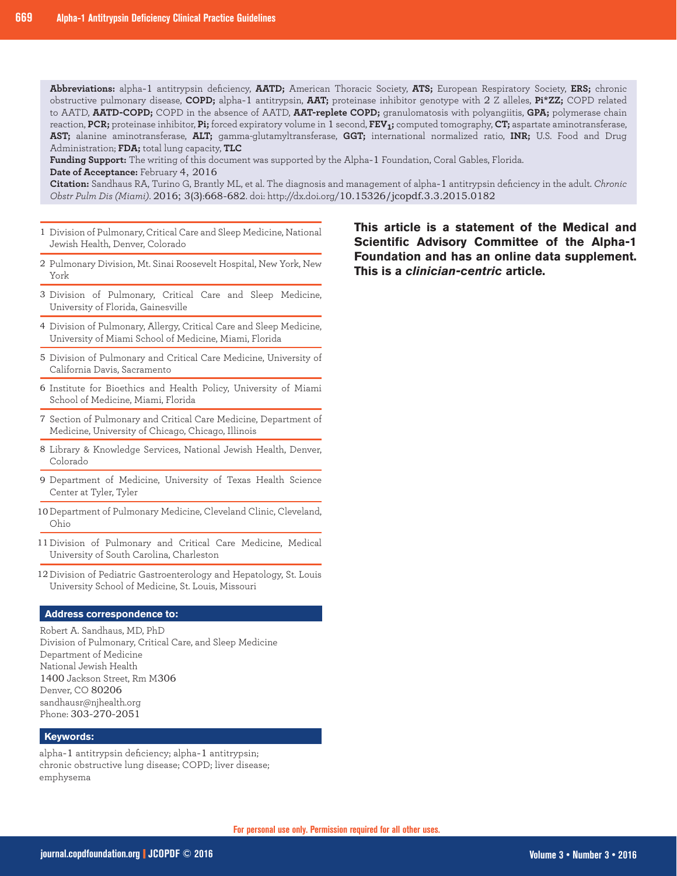**Abbreviations:** alpha-1 antitrypsin deficiency, **AATD;** American Thoracic Society, **ATS;** European Respiratory Society, **ERS;** chronic obstructive pulmonary disease, **COPD;** alpha-1 antitrypsin, **AAT;** proteinase inhibitor genotype with 2 Z alleles, **Pi\*ZZ;** COPD related to AATD, **AATD-COPD;** COPD in the absence of AATD, **AAT-replete COPD;** granulomatosis with polyangiitis, **GPA;** polymerase chain reaction, **PCR;** proteinase inhibitor, **Pi;** forced expiratory volume in 1 second, **FEV1;** computed tomography, **CT;** aspartate aminotransferase, **AST;** alanine aminotransferase, **ALT;** gamma-glutamyltransferase, **GGT;** international normalized ratio, **INR;** U.S. Food and Drug Administration; **FDA;** total lung capacity, **TLC**

**Funding Support:** The writing of this document was supported by the Alpha-1 Foundation, Coral Gables, Florida. **Date of Acceptance:** February 4, 2016

**Citation:** Sandhaus RA, Turino G, Brantly ML, et al. The diagnosis and management of alpha-1 antitrypsin deficiency in the adult. *Chronic Obstr Pulm Dis (Miami)*. 2016; 3(3):668-682. doi: http://dx.doi.org/10.15326/jcopdf.3.3.2015.0182

- 1 Division of Pulmonary, Critical Care and Sleep Medicine, National Jewish Health, Denver, Colorado
- 2 Pulmonary Division, Mt. Sinai Roosevelt Hospital, New York, New York
- 3 Division of Pulmonary, Critical Care and Sleep Medicine, University of Florida, Gainesville
- 4 Division of Pulmonary, Allergy, Critical Care and Sleep Medicine, University of Miami School of Medicine, Miami, Florida
- 5 Division of Pulmonary and Critical Care Medicine, University of California Davis, Sacramento
- 6 Institute for Bioethics and Health Policy, University of Miami School of Medicine, Miami, Florida
- 7 Section of Pulmonary and Critical Care Medicine, Department of Medicine, University of Chicago, Chicago, Illinois
- 8 Library & Knowledge Services, National Jewish Health, Denver, Colorado
- 9 Department of Medicine, University of Texas Health Science Center at Tyler, Tyler
- 10Department of Pulmonary Medicine, Cleveland Clinic, Cleveland, Ohio
- 11Division of Pulmonary and Critical Care Medicine, Medical University of South Carolina, Charleston
- 12Division of Pediatric Gastroenterology and Hepatology, St. Louis University School of Medicine, St. Louis, Missouri

#### **Address correspondence to:**

Robert A. Sandhaus, MD, PhD Division of Pulmonary, Critical Care, and Sleep Medicine Department of Medicine National Jewish Health 1400 Jackson Street, Rm M306 Denver, CO 80206 sandhausr@njhealth.org Phone: 303-270-2051

#### **Keywords:**

alpha-1 antitrypsin deficiency; alpha-1 antitrypsin; chronic obstructive lung disease; COPD; liver disease; emphysema

**This article is a statement of the Medical and Scientific Advisory Committee of the Alpha-1 Foundation and has an online data supplement. This is a** *clinician-centric* **article.**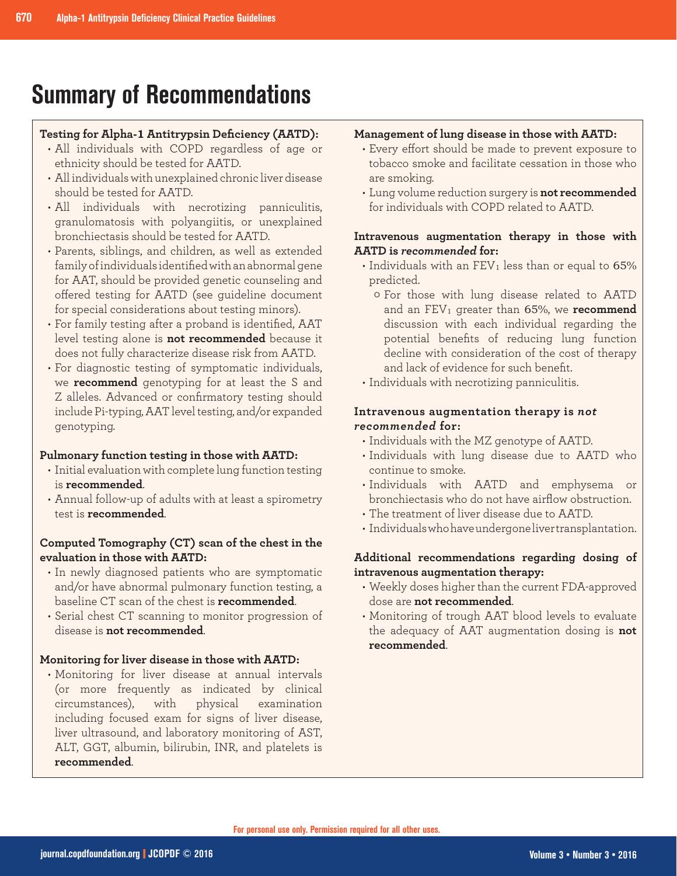# **Summary of Recommendations**

#### **Testing for Alpha-1 Antitrypsin Deficiency (AATD):**

- All individuals with COPD regardless of age or ethnicity should be tested for AATD.
- All individuals with unexplained chronic liver disease should be tested for AATD.
- . All individuals with necrotizing panniculitis, granulomatosis with polyangiitis, or unexplained bronchiectasis should be tested for AATD.
- Parents, siblings, and children, as well as extended family of individuals identified with an abnormal gene for AAT, should be provided genetic counseling and offered testing for AATD (see guideline document for special considerations about testing minors).
- For family testing after a proband is identified, AAT level testing alone is **not recommended** because it does not fully characterize disease risk from AATD.
- For diagnostic testing of symptomatic individuals, we **recommend** genotyping for at least the S and Z alleles. Advanced or confirmatory testing should include Pi-typing, AAT level testing, and/or expanded genotyping.

#### **Pulmonary function testing in those with AATD:**

- Initial evaluation with complete lung function testing is **recommended**.
- Annual follow-up of adults with at least a spirometry test is **recommended**.

#### **Computed Tomography (CT) scan of the chest in the evaluation in those with AATD:**

- In newly diagnosed patients who are symptomatic and/or have abnormal pulmonary function testing, a baseline CT scan of the chest is **recommended**.
- Serial chest CT scanning to monitor progression of disease is **not recommended**.

#### **Monitoring for liver disease in those with AATD:**

Monitoring for liver disease at annual intervals • (or more frequently as indicated by clinical circumstances), with physical examination including focused exam for signs of liver disease, liver ultrasound, and laboratory monitoring of AST, ALT, GGT, albumin, bilirubin, INR, and platelets is **recommended**.

#### **Management of lung disease in those with AATD:**

- Every effort should be made to prevent exposure to tobacco smoke and facilitate cessation in those who are smoking.
- Lung volume reduction surgery is **not recommended** for individuals with COPD related to AATD.

#### **Intravenous augmentation therapy in those with AATD is** *recommended* **for:**

- $\bm{\cdot}$  Individuals with an FEV1 less than or equal to 65% predicted.
	- o For those with lung disease related to AATD and an FEV1 greater than 65%, we **recommend** discussion with each individual regarding the potential benefits of reducing lung function decline with consideration of the cost of therapy and lack of evidence for such benefit.
- Individuals with necrotizing panniculitis.

#### **Intravenous augmentation therapy is** *not recommended* **for:**

- Individuals with the MZ genotype of AATD.
- Individuals with lung disease due to AATD who continue to smoke.
- Individuals with AATD and emphysema or bronchiectasis who do not have airflow obstruction.
- The treatment of liver disease due to AATD. •
- Individuals who have undergone liver transplantation.

#### **Additional recommendations regarding dosing of intravenous augmentation therapy:**

- Weekly doses higher than the current FDA-approved dose are **not recommended**.
- Monitoring of trough AAT blood levels to evaluate the adequacy of AAT augmentation dosing is **not recommended**.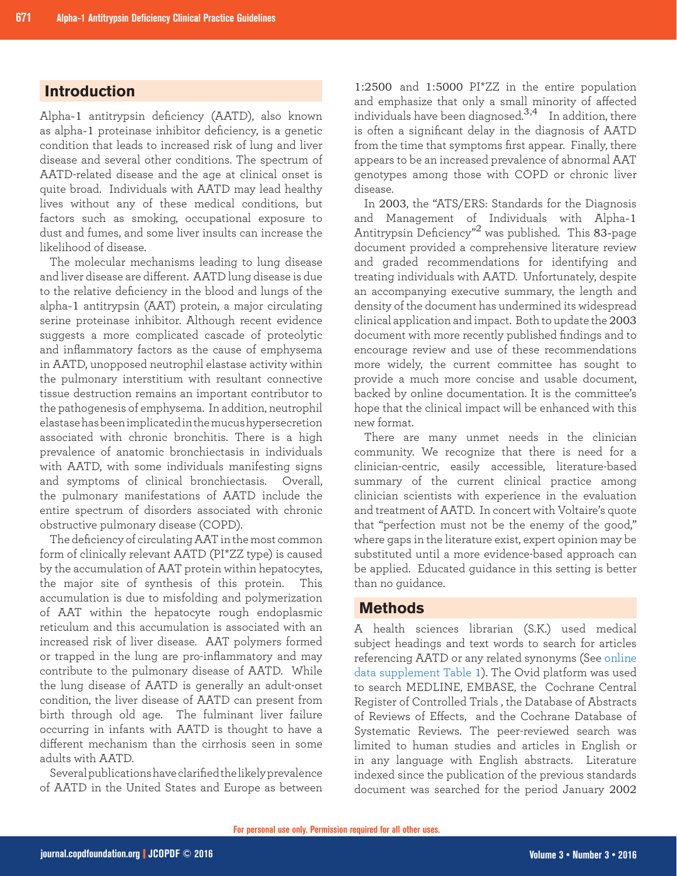## **Introduction**

Alpha-1 antitrypsin deficiency (AATD), also known as alpha-1 proteinase inhibitor deficiency, is a genetic condition that leads to increased risk of lung and liver disease and several other conditions. The spectrum of AATD-related disease and the age at clinical onset is quite broad. Individuals with AATD may lead healthy lives without any of these medical conditions, but factors such as smoking, occupational exposure to dust and fumes, and some liver insults can increase the likelihood of disease.

The molecular mechanisms leading to lung disease and liver disease are different. AATD lung disease is due to the relative deficiency in the blood and lungs of the alpha-1 antitrypsin (AAT) protein, a major circulating serine proteinase inhibitor. Although recent evidence suggests a more complicated cascade of proteolytic and inflammatory factors as the cause of emphysema in AATD, unopposed neutrophil elastase activity within the pulmonary interstitium with resultant connective tissue destruction remains an important contributor to the pathogenesis of emphysema. In addition, neutrophil elastase has been implicated in the mucus hypersecretion associated with chronic bronchitis. There is a high prevalence of anatomic bronchiectasis in individuals with AATD, with some individuals manifesting signs and symptoms of clinical bronchiectasis. Overall, the pulmonary manifestations of AATD include the entire spectrum of disorders associated with chronic obstructive pulmonary disease (COPD).

The deficiency of circulating AAT in the most common form of clinically relevant AATD (PI\*ZZ type) is caused by the accumulation of AAT protein within hepatocytes, the major site of synthesis of this protein. This accumulation is due to misfolding and polymerization of AAT within the hepatocyte rough endoplasmic reticulum and this accumulation is associated with an increased risk of liver disease. AAT polymers formed or trapped in the lung are pro-inflammatory and may contribute to the pulmonary disease of AATD. While the lung disease of AATD is generally an adult-onset condition, the liver disease of AATD can present from birth through old age. The fulminant liver failure occurring in infants with AATD is thought to have a different mechanism than the cirrhosis seen in some adults with AATD.

Several publications have clarified the likely prevalence of AATD in the United States and Europe as between 1:2500 and 1:5000 PI\*ZZ in the entire population and emphasize that only a small minority of affected individuals have been diagnosed. $3,4$  In addition, there is often a significant delay in the diagnosis of AATD from the time that symptoms first appear. Finally, there appears to be an increased prevalence of abnormal AAT genotypes among those with COPD or chronic liver disease.

In 2003, the "ATS/ERS: Standards for the Diagnosis and Management of Individuals with Alpha-1 Antitrypsin Deficiency"<sup>2</sup> was published. This 83-page document provided a comprehensive literature review and graded recommendations for identifying and treating individuals with AATD. Unfortunately, despite an accompanying executive summary, the length and density of the document has undermined its widespread clinical application and impact. Both to update the 2003 document with more recently published findings and to encourage review and use of these recommendations more widely, the current committee has sought to provide a much more concise and usable document, backed by online documentation. It is the committee's hope that the clinical impact will be enhanced with this new format.

There are many unmet needs in the clinician community. We recognize that there is need for a clinician-centric, easily accessible, literature-based summary of the current clinical practice among clinician scientists with experience in the evaluation and treatment of AATD. In concert with Voltaire's quote that "perfection must not be the enemy of the good," where gaps in the literature exist, expert opinion may be substituted until a more evidence-based approach can be applied. Educated guidance in this setting is better than no guidance.

## **Methods**

A health sciences librarian (S.K.) used medical subject headings and text words to search for articles referencing AATD or any related synonyms (See [online](http://journal.copdfoundation.org/jcopdf/id/1115/The-Diagnosis-and-Management-of-Alpha-1-Antitrypsin-Deficiency-in-the-Adult?OnlineSupplement=1115) [data supplement Table](http://journal.copdfoundation.org/jcopdf/id/1115/The-Diagnosis-and-Management-of-Alpha-1-Antitrypsin-Deficiency-in-the-Adult?OnlineSupplement=1115) 1). The Ovid platform was used to search MEDLINE, EMBASE, the Cochrane Central Register of Controlled Trials , the Database of Abstracts of Reviews of Effects, and the Cochrane Database of Systematic Reviews. The peer-reviewed search was limited to human studies and articles in English or in any language with English abstracts. Literature indexed since the publication of the previous standards document was searched for the period January 2002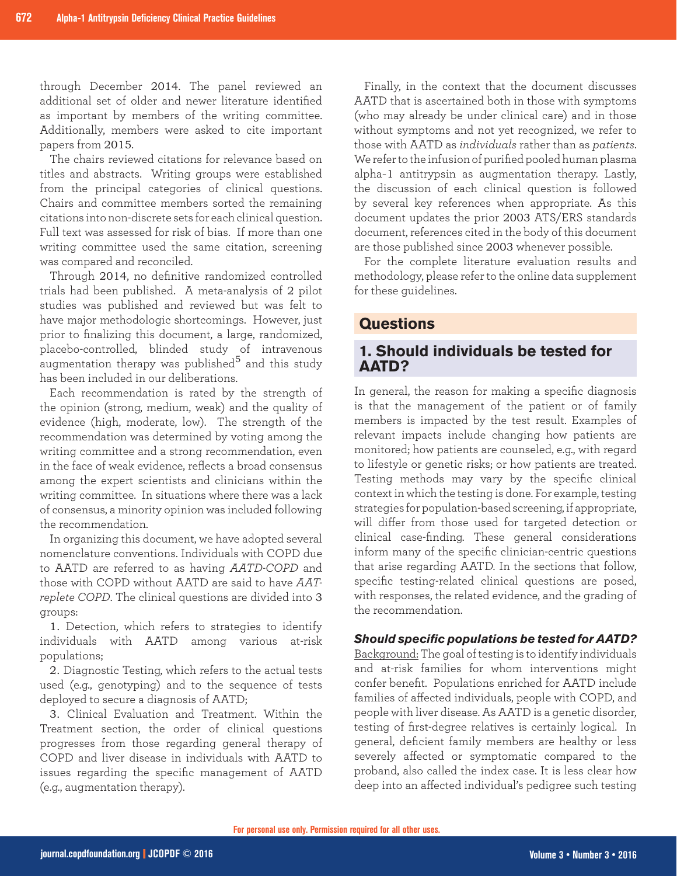through December 2014. The panel reviewed an additional set of older and newer literature identified as important by members of the writing committee. Additionally, members were asked to cite important papers from 2015.

The chairs reviewed citations for relevance based on titles and abstracts. Writing groups were established from the principal categories of clinical questions. Chairs and committee members sorted the remaining citations into non-discrete sets for each clinical question. Full text was assessed for risk of bias. If more than one writing committee used the same citation, screening was compared and reconciled.

Through 2014, no definitive randomized controlled trials had been published. A meta-analysis of 2 pilot studies was published and reviewed but was felt to have major methodologic shortcomings. However, just prior to finalizing this document, a large, randomized, placebo-controlled, blinded study of intravenous augmentation therapy was published<sup>5</sup> and this study has been included in our deliberations.

Each recommendation is rated by the strength of the opinion (strong, medium, weak) and the quality of evidence (high, moderate, low). The strength of the recommendation was determined by voting among the writing committee and a strong recommendation, even in the face of weak evidence, reflects a broad consensus among the expert scientists and clinicians within the writing committee. In situations where there was a lack of consensus, a minority opinion was included following the recommendation.

In organizing this document, we have adopted several nomenclature conventions. Individuals with COPD due to AATD are referred to as having *AATD-COPD* and those with COPD without AATD are said to have *AATreplete COPD*. The clinical questions are divided into 3 groups:

1. Detection, which refers to strategies to identify individuals with AATD among various at-risk populations;

2. Diagnostic Testing, which refers to the actual tests used (e.g., genotyping) and to the sequence of tests deployed to secure a diagnosis of AATD;

3. Clinical Evaluation and Treatment. Within the Treatment section, the order of clinical questions progresses from those regarding general therapy of COPD and liver disease in individuals with AATD to issues regarding the specific management of AATD (e.g., augmentation therapy).

Finally, in the context that the document discusses AATD that is ascertained both in those with symptoms (who may already be under clinical care) and in those without symptoms and not yet recognized, we refer to those with AATD as *individuals* rather than as *patients*. We refer to the infusion of purified pooled human plasma alpha-1 antitrypsin as augmentation therapy. Lastly, the discussion of each clinical question is followed by several key references when appropriate. As this document updates the prior 2003 ATS/ERS standards document, references cited in the body of this document are those published since 2003 whenever possible.

For the complete literature evaluation results and methodology, please refer to the online data supplement for these guidelines.

## **Questions**

## **1. Should individuals be tested for AATD?**

In general, the reason for making a specific diagnosis is that the management of the patient or of family members is impacted by the test result. Examples of relevant impacts include changing how patients are monitored; how patients are counseled, e.g., with regard to lifestyle or genetic risks; or how patients are treated. Testing methods may vary by the specific clinical context in which the testing is done. For example, testing strategies for population-based screening, if appropriate, will differ from those used for targeted detection or clinical case-finding. These general considerations inform many of the specific clinician-centric questions that arise regarding AATD. In the sections that follow, specific testing-related clinical questions are posed, with responses, the related evidence, and the grading of the recommendation.

#### *Should specific populations be tested for AATD?*

Background: The goal of testing is to identify individuals and at-risk families for whom interventions might confer benefit. Populations enriched for AATD include families of affected individuals, people with COPD, and people with liver disease. As AATD is a genetic disorder, testing of first-degree relatives is certainly logical. In general, deficient family members are healthy or less severely affected or symptomatic compared to the proband, also called the index case. It is less clear how deep into an affected individual's pedigree such testing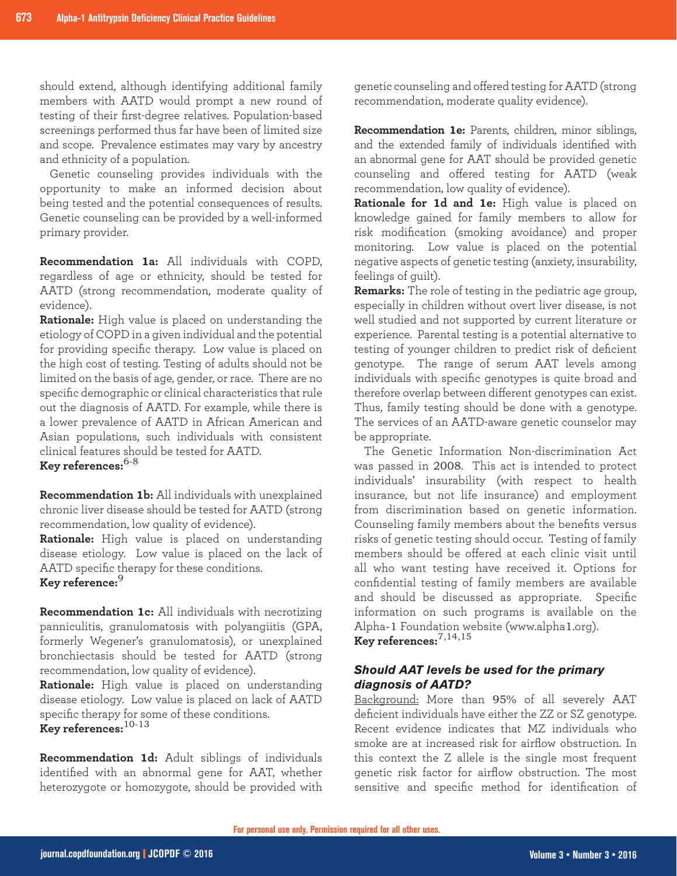should extend, although identifying additional family members with AATD would prompt a new round of testing of their first-degree relatives. Population-based screenings performed thus far have been of limited size and scope. Prevalence estimates may vary by ancestry and ethnicity of a population.

Genetic counseling provides individuals with the opportunity to make an informed decision about being tested and the potential consequences of results. Genetic counseling can be provided by a well-informed primary provider.

**Recommendation 1a:** All individuals with COPD, regardless of age or ethnicity, should be tested for AATD (strong recommendation, moderate quality of evidence).

**Rationale:** High value is placed on understanding the etiology of COPD in a given individual and the potential for providing specific therapy. Low value is placed on the high cost of testing. Testing of adults should not be limited on the basis of age, gender, or race. There are no specific demographic or clinical characteristics that rule out the diagnosis of AATD. For example, while there is a lower prevalence of AATD in African American and Asian populations, such individuals with consistent clinical features should be tested for AATD.

**Key references:**6-8

**Recommendation 1b:** All individuals with unexplained chronic liver disease should be tested for AATD (strong recommendation, low quality of evidence).

**Rationale:** High value is placed on understanding disease etiology. Low value is placed on the lack of AATD specific therapy for these conditions. **Key reference:**<sup>9</sup>

**Recommendation 1c:** All individuals with necrotizing panniculitis, granulomatosis with polyangiitis (GPA, formerly Wegener's granulomatosis), or unexplained bronchiectasis should be tested for AATD (strong recommendation, low quality of evidence).

**Rationale:** High value is placed on understanding disease etiology. Low value is placed on lack of AATD specific therapy for some of these conditions. **Key references:**10-13

**Recommendation 1d:** Adult siblings of individuals identified with an abnormal gene for AAT, whether heterozygote or homozygote, should be provided with genetic counseling and offered testing for AATD (strong recommendation, moderate quality evidence).

**Recommendation 1e:** Parents, children, minor siblings, and the extended family of individuals identified with an abnormal gene for AAT should be provided genetic counseling and offered testing for AATD (weak recommendation, low quality of evidence).

**Rationale for 1d and 1e:** High value is placed on knowledge gained for family members to allow for risk modification (smoking avoidance) and proper monitoring. Low value is placed on the potential negative aspects of genetic testing (anxiety, insurability, feelings of guilt).

**Remarks:** The role of testing in the pediatric age group, especially in children without overt liver disease, is not well studied and not supported by current literature or experience. Parental testing is a potential alternative to testing of younger children to predict risk of deficient genotype. The range of serum AAT levels among individuals with specific genotypes is quite broad and therefore overlap between different genotypes can exist. Thus, family testing should be done with a genotype. The services of an AATD-aware genetic counselor may be appropriate.

The Genetic Information Non-discrimination Act was passed in 2008. This act is intended to protect individuals' insurability (with respect to health insurance, but not life insurance) and employment from discrimination based on genetic information. Counseling family members about the benefits versus risks of genetic testing should occur. Testing of family members should be offered at each clinic visit until all who want testing have received it. Options for confidential testing of family members are available and should be discussed as appropriate. Specific information on such programs is available on the Alpha-1 Foundation website (www.alpha1.org). **Key references:**7,14,15

## *Should AAT levels be used for the primary diagnosis of AATD?*

Background: More than 95% of all severely AAT deficient individuals have either the ZZ or SZ genotype. Recent evidence indicates that MZ individuals who smoke are at increased risk for airflow obstruction. In this context the Z allele is the single most frequent genetic risk factor for airflow obstruction. The most sensitive and specific method for identification of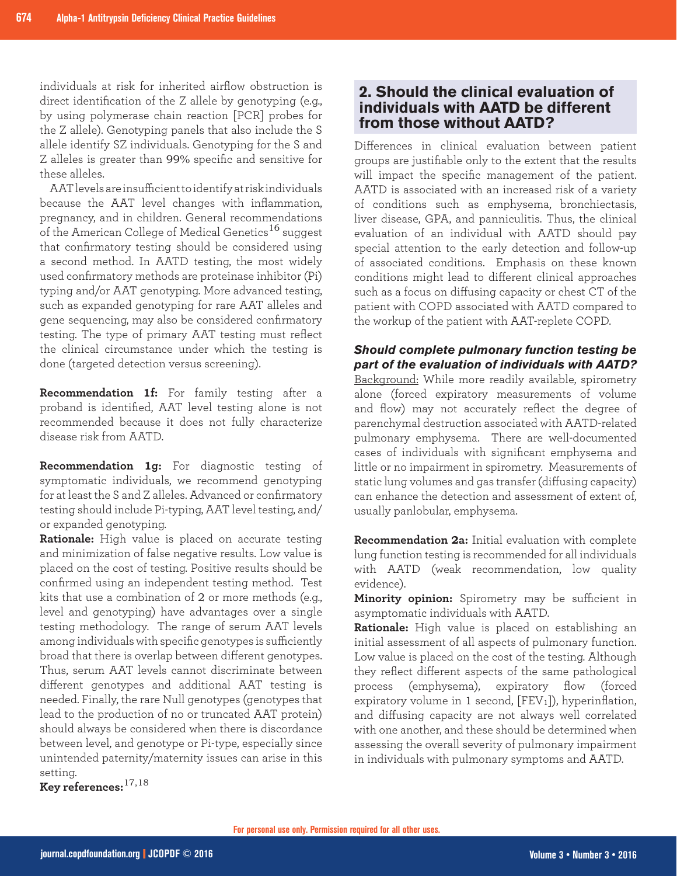individuals at risk for inherited airflow obstruction is direct identification of the Z allele by genotyping (e.g., by using polymerase chain reaction [PCR] probes for the Z allele). Genotyping panels that also include the S allele identify SZ individuals. Genotyping for the S and Z alleles is greater than 99% specific and sensitive for these alleles.

AAT levels are insufficient to identify at risk individuals because the AAT level changes with inflammation, pregnancy, and in children. General recommendations of the American College of Medical Genetics<sup>16</sup> suggest that confirmatory testing should be considered using a second method. In AATD testing, the most widely used confirmatory methods are proteinase inhibitor (Pi) typing and/or AAT genotyping. More advanced testing, such as expanded genotyping for rare AAT alleles and gene sequencing, may also be considered confirmatory testing. The type of primary AAT testing must reflect the clinical circumstance under which the testing is done (targeted detection versus screening).

**Recommendation 1f:** For family testing after a proband is identified, AAT level testing alone is not recommended because it does not fully characterize disease risk from AATD.

**Recommendation 1g:** For diagnostic testing of symptomatic individuals, we recommend genotyping for at least the S and Z alleles. Advanced or confirmatory testing should include Pi-typing, AAT level testing, and/ or expanded genotyping.

**Rationale:** High value is placed on accurate testing and minimization of false negative results. Low value is placed on the cost of testing. Positive results should be confirmed using an independent testing method. Test kits that use a combination of 2 or more methods (e.g., level and genotyping) have advantages over a single testing methodology. The range of serum AAT levels among individuals with specific genotypes is sufficiently broad that there is overlap between different genotypes. Thus, serum AAT levels cannot discriminate between different genotypes and additional AAT testing is needed. Finally, the rare Null genotypes (genotypes that lead to the production of no or truncated AAT protein) should always be considered when there is discordance between level, and genotype or Pi-type, especially since unintended paternity/maternity issues can arise in this setting.

**Key references:**17,18

## **2. Should the clinical evaluation of individuals with AATD be different from those without AATD?**

Differences in clinical evaluation between patient groups are justifiable only to the extent that the results will impact the specific management of the patient. AATD is associated with an increased risk of a variety of conditions such as emphysema, bronchiectasis, liver disease, GPA, and panniculitis. Thus, the clinical evaluation of an individual with AATD should pay special attention to the early detection and follow-up of associated conditions. Emphasis on these known conditions might lead to different clinical approaches such as a focus on diffusing capacity or chest CT of the patient with COPD associated with AATD compared to the workup of the patient with AAT-replete COPD.

## *Should complete pulmonary function testing be part of the evaluation of individuals with AATD?*

Background: While more readily available, spirometry alone (forced expiratory measurements of volume and flow) may not accurately reflect the degree of parenchymal destruction associated with AATD-related pulmonary emphysema. There are well-documented cases of individuals with significant emphysema and little or no impairment in spirometry. Measurements of static lung volumes and gas transfer (diffusing capacity) can enhance the detection and assessment of extent of, usually panlobular, emphysema.

**Recommendation 2a:** Initial evaluation with complete lung function testing is recommended for all individuals with AATD (weak recommendation, low quality evidence).

**Minority opinion:** Spirometry may be sufficient in asymptomatic individuals with AATD.

**Rationale:** High value is placed on establishing an initial assessment of all aspects of pulmonary function. Low value is placed on the cost of the testing. Although they reflect different aspects of the same pathological process (emphysema), expiratory flow (forced expiratory volume in 1 second,  $[FEV<sub>1</sub>]$ ), hyperinflation, and diffusing capacity are not always well correlated with one another, and these should be determined when assessing the overall severity of pulmonary impairment in individuals with pulmonary symptoms and AATD.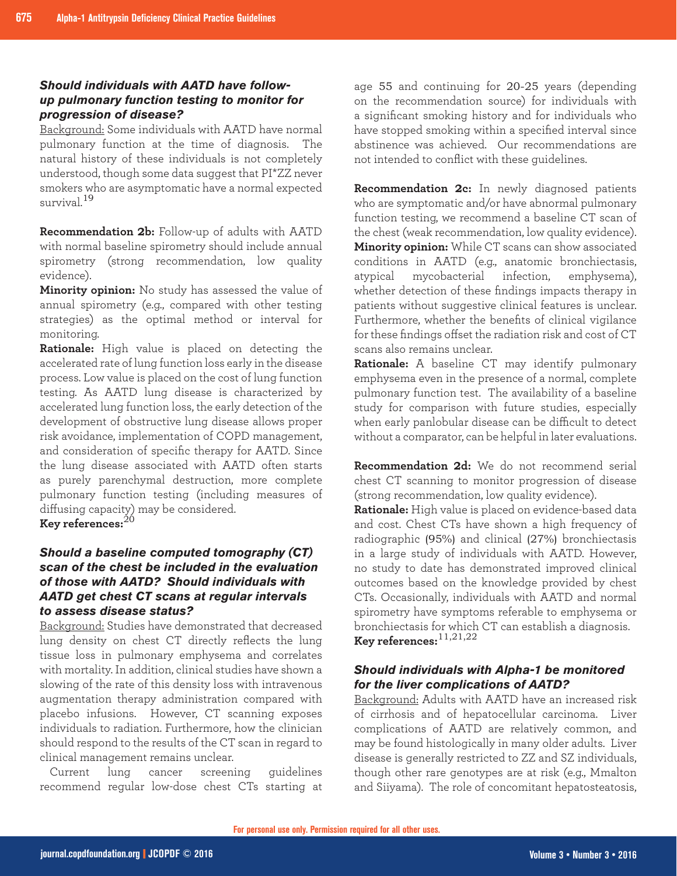### *Should individuals with AATD have followup pulmonary function testing to monitor for progression of disease?*

Background: Some individuals with AATD have normal pulmonary function at the time of diagnosis. The natural history of these individuals is not completely understood, though some data suggest that PI\*ZZ never smokers who are asymptomatic have a normal expected survival.<sup>19</sup>

**Recommendation 2b:** Follow-up of adults with AATD with normal baseline spirometry should include annual spirometry (strong recommendation, low quality evidence).

**Minority opinion:** No study has assessed the value of annual spirometry (e.g., compared with other testing strategies) as the optimal method or interval for monitoring.

**Rationale:** High value is placed on detecting the accelerated rate of lung function loss early in the disease process. Low value is placed on the cost of lung function testing. As AATD lung disease is characterized by accelerated lung function loss, the early detection of the development of obstructive lung disease allows proper risk avoidance, implementation of COPD management, and consideration of specific therapy for AATD. Since the lung disease associated with AATD often starts as purely parenchymal destruction, more complete pulmonary function testing (including measures of diffusing capacity) may be considered. **Key references:**<sup>20</sup>

### *Should a baseline computed tomography (CT) scan of the chest be included in the evaluation of those with AATD? Should individuals with AATD get chest CT scans at regular intervals to assess disease status?*

Background: Studies have demonstrated that decreased lung density on chest CT directly reflects the lung tissue loss in pulmonary emphysema and correlates with mortality. In addition, clinical studies have shown a slowing of the rate of this density loss with intravenous augmentation therapy administration compared with placebo infusions. However, CT scanning exposes individuals to radiation. Furthermore, how the clinician should respond to the results of the CT scan in regard to clinical management remains unclear.

Current lung cancer screening guidelines recommend regular low-dose chest CTs starting at

age 55 and continuing for 20-25 years (depending on the recommendation source) for individuals with a significant smoking history and for individuals who have stopped smoking within a specified interval since abstinence was achieved. Our recommendations are not intended to conflict with these guidelines.

**Recommendation 2c:** In newly diagnosed patients who are symptomatic and/or have abnormal pulmonary function testing, we recommend a baseline CT scan of the chest (weak recommendation, low quality evidence). **Minority opinion:** While CT scans can show associated conditions in AATD (e.g., anatomic bronchiectasis, atypical mycobacterial infection, emphysema), whether detection of these findings impacts therapy in patients without suggestive clinical features is unclear. Furthermore, whether the benefits of clinical vigilance for these findings offset the radiation risk and cost of CT scans also remains unclear.

**Rationale:** A baseline CT may identify pulmonary emphysema even in the presence of a normal, complete pulmonary function test. The availability of a baseline study for comparison with future studies, especially when early panlobular disease can be difficult to detect without a comparator, can be helpful in later evaluations.

**Recommendation 2d:** We do not recommend serial chest CT scanning to monitor progression of disease (strong recommendation, low quality evidence).

**Rationale:** High value is placed on evidence-based data and cost. Chest CTs have shown a high frequency of radiographic (95%) and clinical (27%) bronchiectasis in a large study of individuals with AATD. However, no study to date has demonstrated improved clinical outcomes based on the knowledge provided by chest CTs. Occasionally, individuals with AATD and normal spirometry have symptoms referable to emphysema or bronchiectasis for which CT can establish a diagnosis. **Key references:**11,21,22

### *Should individuals with Alpha-1 be monitored for the liver complications of AATD?*

Background: Adults with AATD have an increased risk of cirrhosis and of hepatocellular carcinoma. Liver complications of AATD are relatively common, and may be found histologically in many older adults. Liver disease is generally restricted to ZZ and SZ individuals, though other rare genotypes are at risk (e.g., Mmalton and Siiyama). The role of concomitant hepatosteatosis,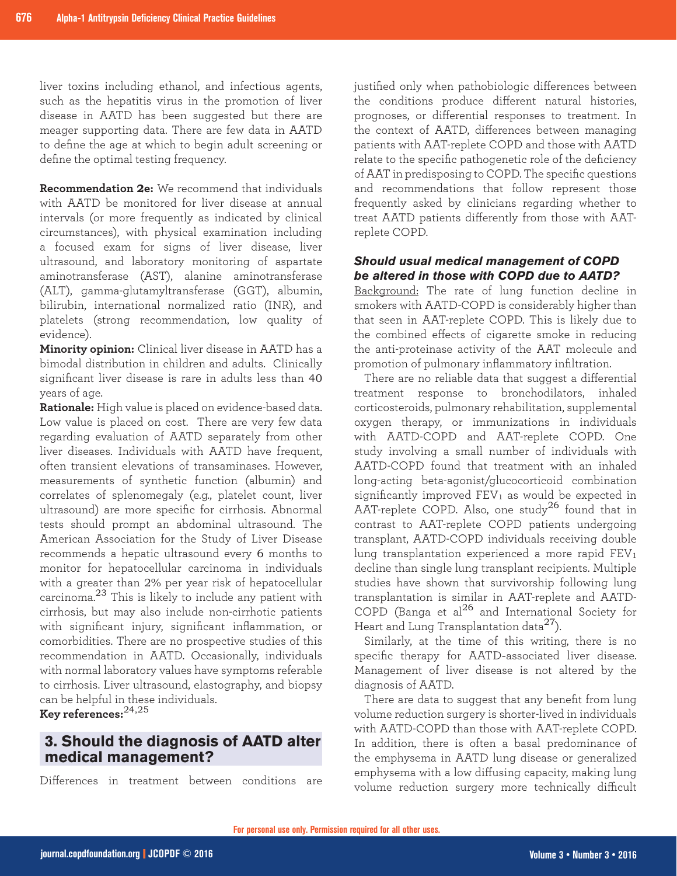liver toxins including ethanol, and infectious agents, such as the hepatitis virus in the promotion of liver disease in AATD has been suggested but there are meager supporting data. There are few data in AATD to define the age at which to begin adult screening or define the optimal testing frequency.

**Recommendation 2e:** We recommend that individuals with AATD be monitored for liver disease at annual intervals (or more frequently as indicated by clinical circumstances), with physical examination including a focused exam for signs of liver disease, liver ultrasound, and laboratory monitoring of aspartate aminotransferase (AST), alanine aminotransferase (ALT), gamma-glutamyltransferase (GGT), albumin, bilirubin, international normalized ratio (INR), and platelets (strong recommendation, low quality of evidence).

**Minority opinion:** Clinical liver disease in AATD has a bimodal distribution in children and adults. Clinically significant liver disease is rare in adults less than 40 years of age.

**Rationale:** High value is placed on evidence-based data. Low value is placed on cost. There are very few data regarding evaluation of AATD separately from other liver diseases. Individuals with AATD have frequent, often transient elevations of transaminases. However, measurements of synthetic function (albumin) and correlates of splenomegaly (e.g., platelet count, liver ultrasound) are more specific for cirrhosis. Abnormal tests should prompt an abdominal ultrasound. The American Association for the Study of Liver Disease recommends a hepatic ultrasound every 6 months to monitor for hepatocellular carcinoma in individuals with a greater than 2% per year risk of hepatocellular carcinoma.23 This is likely to include any patient with cirrhosis, but may also include non-cirrhotic patients with significant injury, significant inflammation, or comorbidities. There are no prospective studies of this recommendation in AATD. Occasionally, individuals with normal laboratory values have symptoms referable to cirrhosis. Liver ultrasound, elastography, and biopsy can be helpful in these individuals. **Key references:**24,25

## **3. Should the diagnosis of AATD alter medical management?**

Differences in treatment between conditions are

justified only when pathobiologic differences between the conditions produce different natural histories, prognoses, or differential responses to treatment. In the context of AATD, differences between managing patients with AAT-replete COPD and those with AATD relate to the specific pathogenetic role of the deficiency of AAT in predisposing to COPD. The specific questions and recommendations that follow represent those frequently asked by clinicians regarding whether to treat AATD patients differently from those with AATreplete COPD.

### *Should usual medical management of COPD be altered in those with COPD due to AATD?*

Background: The rate of lung function decline in smokers with AATD-COPD is considerably higher than that seen in AAT-replete COPD. This is likely due to the combined effects of cigarette smoke in reducing the anti-proteinase activity of the AAT molecule and promotion of pulmonary inflammatory infiltration.

There are no reliable data that suggest a differential treatment response to bronchodilators, inhaled corticosteroids, pulmonary rehabilitation, supplemental oxygen therapy, or immunizations in individuals with AATD-COPD and AAT-replete COPD. One study involving a small number of individuals with AATD-COPD found that treatment with an inhaled long-acting beta-agonist/glucocorticoid combination significantly improved FEV<sub>1</sub> as would be expected in AAT-replete COPD. Also, one study<sup>26</sup> found that in contrast to AAT-replete COPD patients undergoing transplant, AATD-COPD individuals receiving double lung transplantation experienced a more rapid FEV<sub>1</sub> decline than single lung transplant recipients. Multiple studies have shown that survivorship following lung transplantation is similar in AAT-replete and AATD-COPD (Banga et al<sup>26</sup> and International Society for Heart and Lung Transplantation data<sup>27</sup>).

Similarly, at the time of this writing, there is no specific therapy for AATD-associated liver disease. Management of liver disease is not altered by the diagnosis of AATD.

There are data to suggest that any benefit from lung volume reduction surgery is shorter-lived in individuals with AATD-COPD than those with AAT-replete COPD. In addition, there is often a basal predominance of the emphysema in AATD lung disease or generalized emphysema with a low diffusing capacity, making lung volume reduction surgery more technically difficult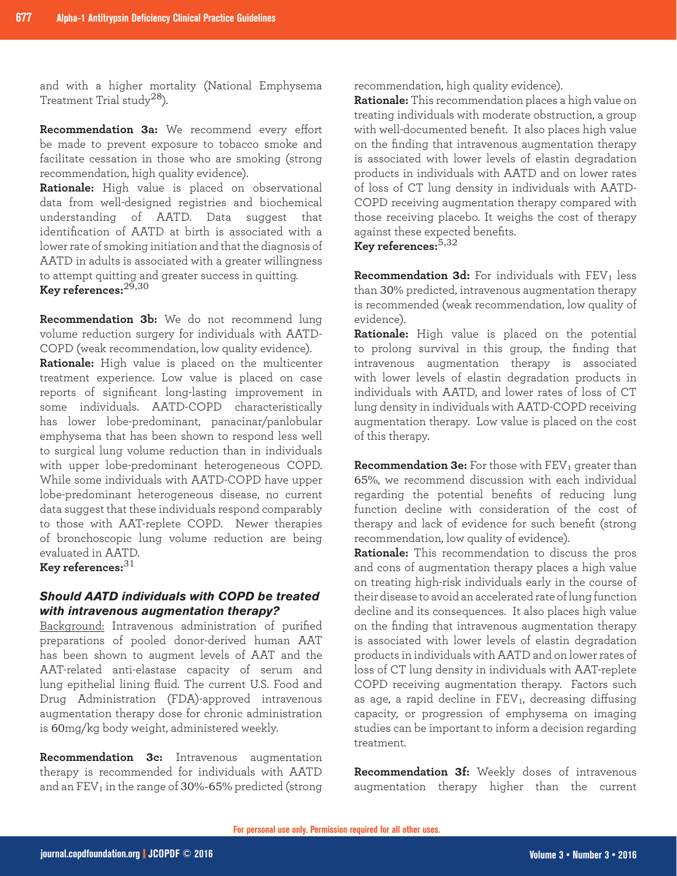and with a higher mortality (National Emphysema Treatment Trial study<sup>28</sup>).

**Recommendation 3a:** We recommend every effort be made to prevent exposure to tobacco smoke and facilitate cessation in those who are smoking (strong recommendation, high quality evidence).

**Rationale:** High value is placed on observational data from well-designed registries and biochemical understanding of AATD. Data suggest that identification of AATD at birth is associated with a lower rate of smoking initiation and that the diagnosis of AATD in adults is associated with a greater willingness to attempt quitting and greater success in quitting. **Key references:**29,30

**Recommendation 3b:** We do not recommend lung volume reduction surgery for individuals with AATD-COPD (weak recommendation, low quality evidence).

**Rationale:** High value is placed on the multicenter treatment experience. Low value is placed on case reports of significant long-lasting improvement in some individuals. AATD-COPD characteristically has lower lobe-predominant, panacinar/panlobular emphysema that has been shown to respond less well to surgical lung volume reduction than in individuals with upper lobe-predominant heterogeneous COPD. While some individuals with AATD-COPD have upper lobe-predominant heterogeneous disease, no current data suggest that these individuals respond comparably to those with AAT-replete COPD. Newer therapies of bronchoscopic lung volume reduction are being evaluated in AATD. **Key references:**<sup>31</sup>

#### *Should AATD individuals with COPD be treated with intravenous augmentation therapy?*

Background: Intravenous administration of purified preparations of pooled donor-derived human AAT has been shown to augment levels of AAT and the AAT-related anti-elastase capacity of serum and lung epithelial lining fluid. The current U.S. Food and Drug Administration (FDA)-approved intravenous augmentation therapy dose for chronic administration is 60mg/kg body weight, administered weekly.

**Recommendation 3c:** Intravenous augmentation therapy is recommended for individuals with AATD and an  $FEV<sub>1</sub>$  in the range of 30%-65% predicted (strong

recommendation, high quality evidence).

**Rationale:** This recommendation places a high value on treating individuals with moderate obstruction, a group with well-documented benefit. It also places high value on the finding that intravenous augmentation therapy is associated with lower levels of elastin degradation products in individuals with AATD and on lower rates of loss of CT lung density in individuals with AATD-COPD receiving augmentation therapy compared with those receiving placebo. It weighs the cost of therapy against these expected benefits.

**Key references:**5,32

**Recommendation 3d:** For individuals with FEV<sub>1</sub> less than 30% predicted, intravenous augmentation therapy is recommended (weak recommendation, low quality of evidence).

**Rationale:** High value is placed on the potential to prolong survival in this group, the finding that intravenous augmentation therapy is associated with lower levels of elastin degradation products in individuals with AATD, and lower rates of loss of CT lung density in individuals with AATD-COPD receiving augmentation therapy. Low value is placed on the cost of this therapy.

**Recommendation 3e:** For those with FEV<sub>1</sub> greater than 65%, we recommend discussion with each individual regarding the potential benefits of reducing lung function decline with consideration of the cost of therapy and lack of evidence for such benefit (strong recommendation, low quality of evidence).

**Rationale:** This recommendation to discuss the pros and cons of augmentation therapy places a high value on treating high-risk individuals early in the course of their disease to avoid an accelerated rate of lung function decline and its consequences. It also places high value on the finding that intravenous augmentation therapy is associated with lower levels of elastin degradation products in individuals with AATD and on lower rates of loss of CT lung density in individuals with AAT-replete COPD receiving augmentation therapy. Factors such as age, a rapid decline in FEV<sub>1</sub>, decreasing diffusing capacity, or progression of emphysema on imaging studies can be important to inform a decision regarding treatment.

**Recommendation 3f:** Weekly doses of intravenous augmentation therapy higher than the current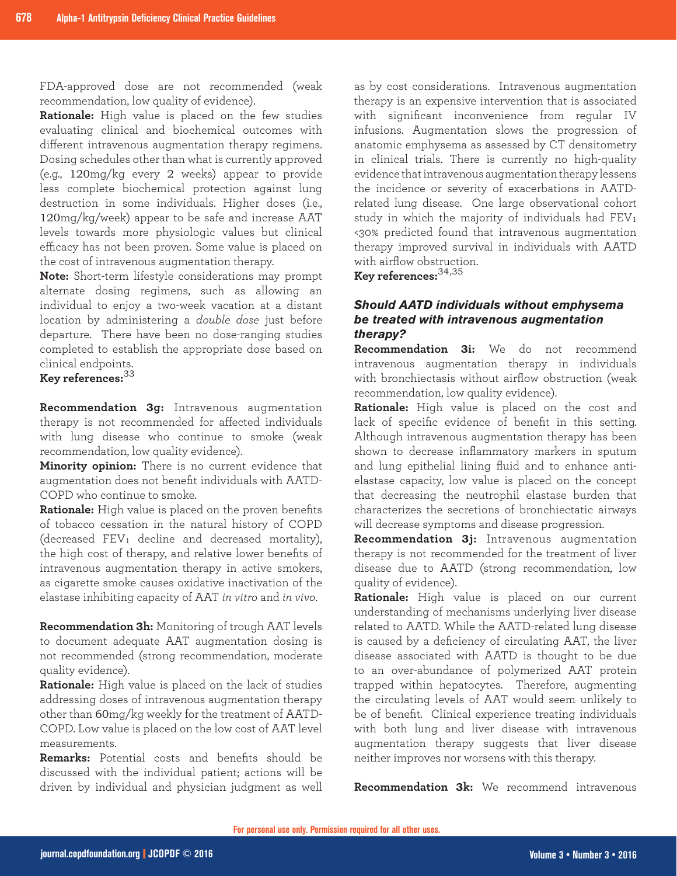FDA-approved dose are not recommended (weak recommendation, low quality of evidence).

**Rationale:** High value is placed on the few studies evaluating clinical and biochemical outcomes with different intravenous augmentation therapy regimens. Dosing schedules other than what is currently approved (e.g., 120mg/kg every 2 weeks) appear to provide less complete biochemical protection against lung destruction in some individuals. Higher doses (i.e., 120mg/kg/week) appear to be safe and increase AAT levels towards more physiologic values but clinical efficacy has not been proven. Some value is placed on the cost of intravenous augmentation therapy.

**Note:** Short-term lifestyle considerations may prompt alternate dosing regimens, such as allowing an individual to enjoy a two-week vacation at a distant location by administering a *double dose* just before departure. There have been no dose-ranging studies completed to establish the appropriate dose based on clinical endpoints.

#### **Key references:**<sup>33</sup>

**Recommendation 3g:** Intravenous augmentation therapy is not recommended for affected individuals with lung disease who continue to smoke (weak recommendation, low quality evidence).

**Minority opinion:** There is no current evidence that augmentation does not benefit individuals with AATD-COPD who continue to smoke.

**Rationale:** High value is placed on the proven benefits of tobacco cessation in the natural history of COPD (decreased FEV1 decline and decreased mortality), the high cost of therapy, and relative lower benefits of intravenous augmentation therapy in active smokers, as cigarette smoke causes oxidative inactivation of the elastase inhibiting capacity of AAT *in vitro* and *in vivo*.

**Recommendation 3h:** Monitoring of trough AAT levels to document adequate AAT augmentation dosing is not recommended (strong recommendation, moderate quality evidence).

**Rationale:** High value is placed on the lack of studies addressing doses of intravenous augmentation therapy other than 60mg/kg weekly for the treatment of AATD-COPD. Low value is placed on the low cost of AAT level measurements.

**Remarks:** Potential costs and benefits should be discussed with the individual patient; actions will be driven by individual and physician judgment as well as by cost considerations. Intravenous augmentation therapy is an expensive intervention that is associated with significant inconvenience from regular IV infusions. Augmentation slows the progression of anatomic emphysema as assessed by CT densitometry in clinical trials. There is currently no high-quality evidence that intravenous augmentation therapy lessens the incidence or severity of exacerbations in AATDrelated lung disease. One large observational cohort study in which the majority of individuals had  $FEV<sub>1</sub>$ <30% predicted found that intravenous augmentation therapy improved survival in individuals with AATD with airflow obstruction.

**Key references:**34,35

#### *Should AATD individuals without emphysema be treated with intravenous augmentation therapy?*

**Recommendation 3i:** We do not recommend intravenous augmentation therapy in individuals with bronchiectasis without airflow obstruction (weak recommendation, low quality evidence).

**Rationale:** High value is placed on the cost and lack of specific evidence of benefit in this setting. Although intravenous augmentation therapy has been shown to decrease inflammatory markers in sputum and lung epithelial lining fluid and to enhance antielastase capacity, low value is placed on the concept that decreasing the neutrophil elastase burden that characterizes the secretions of bronchiectatic airways will decrease symptoms and disease progression.

**Recommendation 3j:** Intravenous augmentation therapy is not recommended for the treatment of liver disease due to AATD (strong recommendation, low quality of evidence).

**Rationale:** High value is placed on our current understanding of mechanisms underlying liver disease related to AATD. While the AATD-related lung disease is caused by a deficiency of circulating AAT, the liver disease associated with AATD is thought to be due to an over-abundance of polymerized AAT protein trapped within hepatocytes. Therefore, augmenting the circulating levels of AAT would seem unlikely to be of benefit. Clinical experience treating individuals with both lung and liver disease with intravenous augmentation therapy suggests that liver disease neither improves nor worsens with this therapy.

**Recommendation 3k:** We recommend intravenous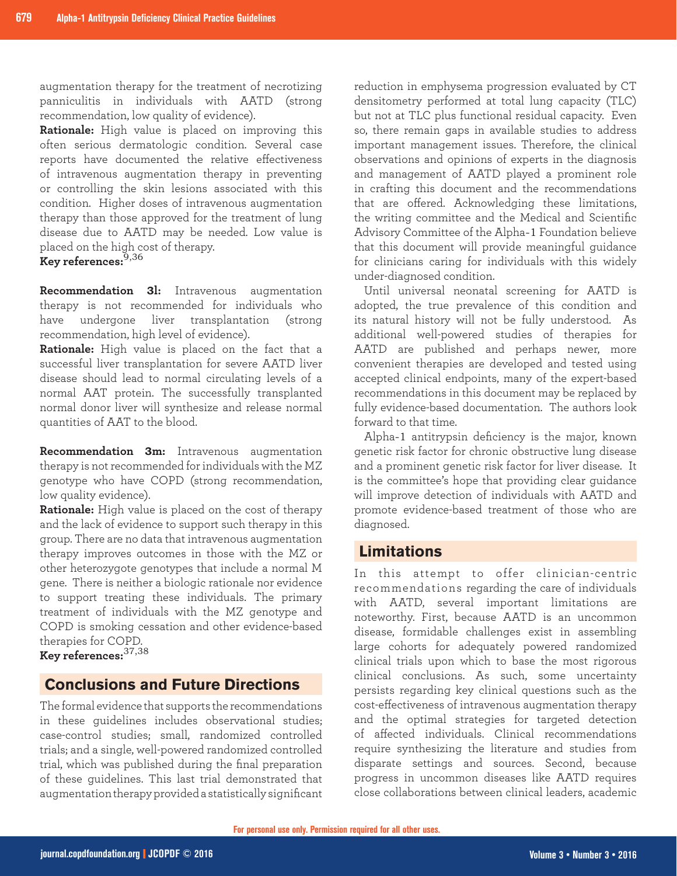augmentation therapy for the treatment of necrotizing panniculitis in individuals with AATD (strong recommendation, low quality of evidence).

**Rationale:** High value is placed on improving this often serious dermatologic condition. Several case reports have documented the relative effectiveness of intravenous augmentation therapy in preventing or controlling the skin lesions associated with this condition. Higher doses of intravenous augmentation therapy than those approved for the treatment of lung disease due to AATD may be needed. Low value is placed on the high cost of therapy.

**Key references:**9,36

**Recommendation 3l:** Intravenous augmentation therapy is not recommended for individuals who have undergone liver transplantation (strong recommendation, high level of evidence).

**Rationale:** High value is placed on the fact that a successful liver transplantation for severe AATD liver disease should lead to normal circulating levels of a normal AAT protein. The successfully transplanted normal donor liver will synthesize and release normal quantities of AAT to the blood.

**Recommendation 3m:** Intravenous augmentation therapy is not recommended for individuals with the MZ genotype who have COPD (strong recommendation, low quality evidence).

**Rationale:** High value is placed on the cost of therapy and the lack of evidence to support such therapy in this group. There are no data that intravenous augmentation therapy improves outcomes in those with the MZ or other heterozygote genotypes that include a normal M gene. There is neither a biologic rationale nor evidence to support treating these individuals. The primary treatment of individuals with the MZ genotype and COPD is smoking cessation and other evidence-based therapies for COPD. **Key references:**37,38

## **Conclusions and Future Directions**

The formal evidence that supports the recommendations in these guidelines includes observational studies; case-control studies; small, randomized controlled trials; and a single, well-powered randomized controlled trial, which was published during the final preparation of these guidelines. This last trial demonstrated that augmentation therapy provided a statistically significant reduction in emphysema progression evaluated by CT densitometry performed at total lung capacity (TLC) but not at TLC plus functional residual capacity. Even so, there remain gaps in available studies to address important management issues. Therefore, the clinical observations and opinions of experts in the diagnosis and management of AATD played a prominent role in crafting this document and the recommendations that are offered. Acknowledging these limitations, the writing committee and the Medical and Scientific Advisory Committee of the Alpha-1 Foundation believe that this document will provide meaningful guidance for clinicians caring for individuals with this widely under-diagnosed condition.

Until universal neonatal screening for AATD is adopted, the true prevalence of this condition and its natural history will not be fully understood. As additional well-powered studies of therapies for AATD are published and perhaps newer, more convenient therapies are developed and tested using accepted clinical endpoints, many of the expert-based recommendations in this document may be replaced by fully evidence-based documentation. The authors look forward to that time.

Alpha-1 antitrypsin deficiency is the major, known genetic risk factor for chronic obstructive lung disease and a prominent genetic risk factor for liver disease. It is the committee's hope that providing clear guidance will improve detection of individuals with AATD and promote evidence-based treatment of those who are diagnosed.

## **Limitations**

In this attempt to offer clinician-centric recommendations regarding the care of individuals with AATD, several important limitations are noteworthy. First, because AATD is an uncommon disease, formidable challenges exist in assembling large cohorts for adequately powered randomized clinical trials upon which to base the most rigorous clinical conclusions. As such, some uncertainty persists regarding key clinical questions such as the cost-effectiveness of intravenous augmentation therapy and the optimal strategies for targeted detection of affected individuals. Clinical recommendations require synthesizing the literature and studies from disparate settings and sources. Second, because progress in uncommon diseases like AATD requires close collaborations between clinical leaders, academic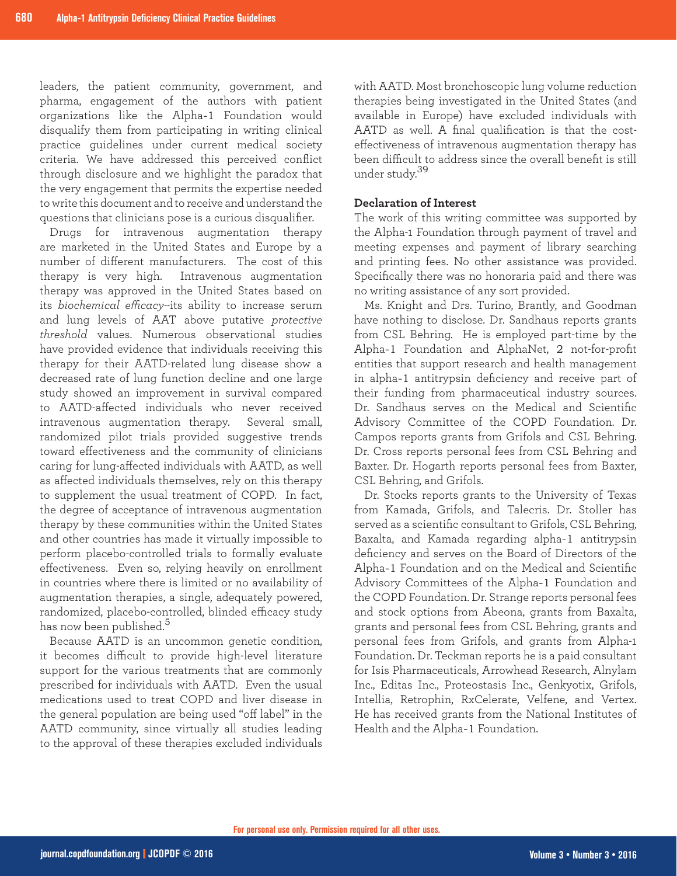leaders, the patient community, government, and pharma, engagement of the authors with patient organizations like the Alpha-1 Foundation would disqualify them from participating in writing clinical practice guidelines under current medical society criteria. We have addressed this perceived conflict through disclosure and we highlight the paradox that the very engagement that permits the expertise needed to write this document and to receive and understand the questions that clinicians pose is a curious disqualifier.

Drugs for intravenous augmentation therapy are marketed in the United States and Europe by a number of different manufacturers. The cost of this therapy is very high. Intravenous augmentation therapy was approved in the United States based on its *biochemical efficacy--*its ability to increase serum and lung levels of AAT above putative *protective threshold* values. Numerous observational studies have provided evidence that individuals receiving this therapy for their AATD-related lung disease show a decreased rate of lung function decline and one large study showed an improvement in survival compared to AATD-affected individuals who never received intravenous augmentation therapy. Several small, randomized pilot trials provided suggestive trends toward effectiveness and the community of clinicians caring for lung-affected individuals with AATD, as well as affected individuals themselves, rely on this therapy to supplement the usual treatment of COPD. In fact, the degree of acceptance of intravenous augmentation therapy by these communities within the United States and other countries has made it virtually impossible to perform placebo-controlled trials to formally evaluate effectiveness. Even so, relying heavily on enrollment in countries where there is limited or no availability of augmentation therapies, a single, adequately powered, randomized, placebo-controlled, blinded efficacy study has now been published.<sup>5</sup>

Because AATD is an uncommon genetic condition, it becomes difficult to provide high-level literature support for the various treatments that are commonly prescribed for individuals with AATD. Even the usual medications used to treat COPD and liver disease in the general population are being used "off label" in the AATD community, since virtually all studies leading to the approval of these therapies excluded individuals

with AATD. Most bronchoscopic lung volume reduction therapies being investigated in the United States (and available in Europe) have excluded individuals with AATD as well. A final qualification is that the costeffectiveness of intravenous augmentation therapy has been difficult to address since the overall benefit is still under study.<sup>39</sup>

#### **Declaration of Interest**

The work of this writing committee was supported by the Alpha-1 Foundation through payment of travel and meeting expenses and payment of library searching and printing fees. No other assistance was provided. Specifically there was no honoraria paid and there was no writing assistance of any sort provided.

Ms. Knight and Drs. Turino, Brantly, and Goodman have nothing to disclose. Dr. Sandhaus reports grants from CSL Behring. He is employed part-time by the Alpha-1 Foundation and AlphaNet, 2 not-for-profit entities that support research and health management in alpha-1 antitrypsin deficiency and receive part of their funding from pharmaceutical industry sources. Dr. Sandhaus serves on the Medical and Scientific Advisory Committee of the COPD Foundation. Dr. Campos reports grants from Grifols and CSL Behring. Dr. Cross reports personal fees from CSL Behring and Baxter. Dr. Hogarth reports personal fees from Baxter, CSL Behring, and Grifols.

Dr. Stocks reports grants to the University of Texas from Kamada, Grifols, and Talecris. Dr. Stoller has served as a scientific consultant to Grifols, CSL Behring, Baxalta, and Kamada regarding alpha-1 antitrypsin deficiency and serves on the Board of Directors of the Alpha-1 Foundation and on the Medical and Scientific Advisory Committees of the Alpha-1 Foundation and the COPD Foundation. Dr. Strange reports personal fees and stock options from Abeona, grants from Baxalta, grants and personal fees from CSL Behring, grants and personal fees from Grifols, and grants from Alpha-1 Foundation. Dr. Teckman reports he is a paid consultant for Isis Pharmaceuticals, Arrowhead Research, Alnylam Inc., Editas Inc., Proteostasis Inc., Genkyotix, Grifols, Intellia, Retrophin, RxCelerate, Velfene, and Vertex. He has received grants from the National Institutes of Health and the Alpha-1 Foundation.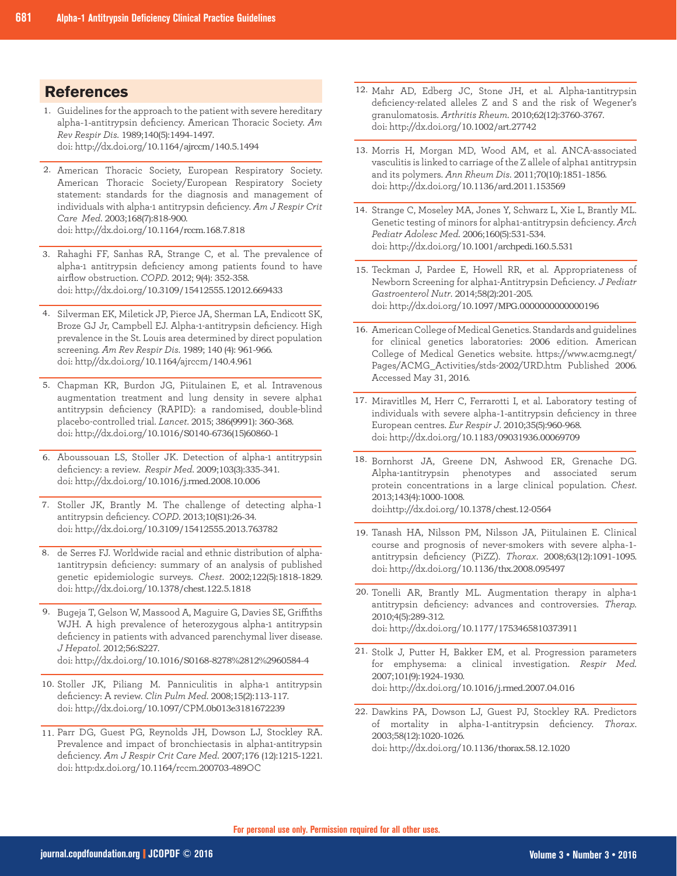## **References**

- Guidelines for the approach to the patient with severe hereditary 1. alpha-1-antitrypsin deficiency. American Thoracic Society. *Am Rev Respir Dis*. 1989;140(5):1494-1497. doi: http://dx.doi.org/10.1164/ajrccm/140.5.1494
- American Thoracic Society, European Respiratory Society. 2. American Thoracic Society/European Respiratory Society statement: standards for the diagnosis and management of individuals with alpha-1 antitrypsin deficiency. *Am J Respir Crit Care Med*. 2003;168(7):818-900. doi: http://dx.doi.org/10.1164/rccm.168.7.818
- 3. Rahaghi FF, Sanhas RA, Strange C, et al. The prevalence of alpha-1 antitrypsin deficiency among patients found to have airflow obstruction. *COPD*. 2012; 9(4): 352-358. doi: http://dx.doi.org/10.3109/15412555.12012.669433
- 4. Silverman EK, Miletick JP, Pierce JA, Sherman LA, Endicott SK, Broze GJ Jr, Campbell EJ. Alpha-1-antitrypsin deficiency. High prevalence in the St. Louis area determined by direct population screening. *Am Rev Respir Dis*. 1989; 140 (4): 961-966. doi: http//dx.doi.org/10.1164/ajrccm/140.4.961
- Chapman KR, Burdon JG, Piitulainen E, et al. Intravenous 5. augmentation treatment and lung density in severe alpha1 antitrypsin deficiency (RAPID): a randomised, double-blind placebo-controlled trial. *Lancet*. 2015; 386(9991): 360-368. doi: http://dx.doi.org/10.1016/S0140-6736(15)60860-1
- Aboussouan LS, Stoller JK. Detection of alpha-1 antitrypsin 6. deficiency: a review. *Respir Med*. 2009;103(3):335-341. doi: http://dx.doi.org/10.1016/j.rmed.2008.10.006
- 7. Stoller JK, Brantly M. The challenge of detecting alpha-1 antitrypsin deficiency. *COPD*. 2013;10(S1):26-34. doi: http://dx.doi.org/10.3109/15412555.2013.763782
- 8. de Serres FJ. Worldwide racial and ethnic distribution of alpha-1antitrypsin deficiency: summary of an analysis of published genetic epidemiologic surveys. *Chest*. 2002;122(5):1818-1829. doi: http://dx.doi.org/10.1378/chest.122.5.1818
- 9. Bugeja T, Gelson W, Massood A, Maguire G, Davies SE, Griffiths WJH. A high prevalence of heterozygous alpha-1 antitrypsin deficiency in patients with advanced parenchymal liver disease. *J Hepatol*. 2012;56:S227. doi: http://dx.doi.org/10.1016/S0168-8278%2812%2960584-4
- 10. Stoller JK, Piliang M. Panniculitis in alpha-1 antitrypsin deficiency: A review. *Clin Pulm Med*. 2008;15(2):113-117. doi: http://dx.doi.org/10.1097/CPM.0b013e3181672239
- Parr DG, Guest PG, Reynolds JH, Dowson LJ, Stockley RA. 11. Prevalence and impact of bronchiectasis in alpha1-antitrypsin deficiency. *Am J Respir Crit Care Med*. 2007;176 (12):1215-1221. doi: http:dx.doi.org/10.1164/rccm.200703-489OC
- 12. Mahr AD, Edberg JC, Stone JH, et al. Alpha-1antitrypsin deficiency-related alleles Z and S and the risk of Wegener's granulomatosis. *Arthritis Rheum*. 2010;62(12):3760-3767. doi: http://dx.doi.org/10.1002/art.27742
- 13. Morris H, Morgan MD, Wood AM, et al. ANCA-associated vasculitis is linked to carriage of the Z allele of alpha1 antitrypsin and its polymers. *Ann Rheum Dis*. 2011;70(10):1851-1856. doi: http://dx.doi.org/10.1136/ard.2011.153569
- 14. Strange C, Moseley MA, Jones Y, Schwarz L, Xie L, Brantly ML. Genetic testing of minors for alpha1-antitrypsin deficiency. *Arch Pediatr Adolesc Med*. 2006;160(5):531-534. doi: http://dx.doi.org/10.1001/archpedi.160.5.531
- 15. Teckman J, Pardee E, Howell RR, et al. Appropriateness of Newborn Screening for alpha1-Antitrypsin Deficiency. *J Pediatr Gastroenterol Nutr*. 2014;58(2):201-205. doi: http://dx.doi.org/10.1097/MPG.0000000000000196
- 16. American College of Medical Genetics. Standards and guidelines for clinical genetics laboratories: 2006 edition. American College of Medical Genetics website. https://www.acmg.negt/ Pages/ACMG\_Activities/stds-2002/URD.htm Published 2006. Accessed May 31, 2016.
- 17. Miravitlles M, Herr C, Ferrarotti I, et al. Laboratory testing of individuals with severe alpha-1-antitrypsin deficiency in three European centres. *Eur Respir J*. 2010;35(5):960-968. doi: http://dx.doi.org/10.1183/09031936.00069709
- 18. Bornhorst JA, Greene DN, Ashwood ER, Grenache DG. Alpha-1antitrypsin phenotypes and associated serum protein concentrations in a large clinical population. *Chest*. 2013;143(4):1000-1008. doi:http://dx.doi.org/10.1378/chest.12-0564
- 19. Tanash HA, Nilsson PM, Nilsson JA, Piitulainen E. Clinical course and prognosis of never-smokers with severe alpha-1 antitrypsin deficiency (PiZZ). *Thorax*. 2008;63(12):1091-1095. doi: http://dx.doi.org/10.1136/thx.2008.095497
- 20 Tonelli AR, Brantly ML. Augmentation therapy in alpha-1 antitrypsin deficiency: advances and controversies. *Therap.* 2010;4(5):289-312. doi: http://dx.doi.org/10.1177/1753465810373911
- 21. Stolk J, Putter H, Bakker EM, et al. Progression parameters for emphysema: a clinical investigation. *Respir Med.* 2007;101(9):1924-1930. doi: http://dx.doi.org/10.1016/j.rmed.2007.04.016
- 22. Dawkins PA, Dowson LJ, Guest PJ, Stockley RA. Predictors of mortality in alpha-1-antitrypsin deficiency. *Thorax*. 2003;58(12):1020-1026. doi: http://dx.doi.org/10.1136/thorax.58.12.1020